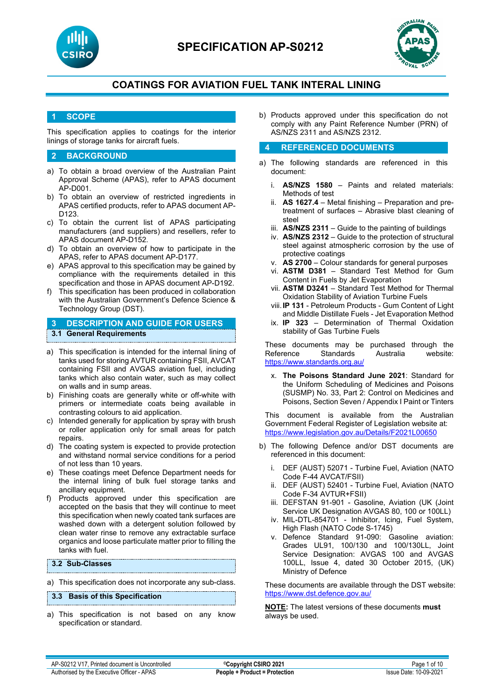



## **1 SCOPE**

This specification applies to coatings for the interior linings of storage tanks for aircraft fuels.

## **2 BACKGROUND**

- a) To obtain a broad overview of the Australian Paint Approval Scheme (APAS), refer to APAS document AP-D001.
- b) To obtain an overview of restricted ingredients in APAS certified products, refer to APAS document AP-D123.
- c) To obtain the current list of APAS participating manufacturers (and suppliers) and resellers, refer to APAS document AP-D152.
- d) To obtain an overview of how to participate in the APAS, refer to APAS document AP-D177.
- e) APAS approval to this specification may be gained by compliance with the requirements detailed in this specification and those in APAS document AP-D192.
- f) This specification has been produced in collaboration with the Australian Government's Defence Science & Technology Group (DST).

## **3 DESCRIPTION AND GUIDE FOR USERS 3.1 General Requirements**

- a) This specification is intended for the internal lining of tanks used for storing AVTUR containing FSII, AVCAT containing FSII and AVGAS aviation fuel, including tanks which also contain water, such as may collect on walls and in sump areas.
- b) Finishing coats are generally white or off-white with primers or intermediate coats being available in contrasting colours to aid application.
- c) Intended generally for application by spray with brush or roller application only for small areas for patch repairs.
- d) The coating system is expected to provide protection and withstand normal service conditions for a period of not less than 10 years.
- e) These coatings meet Defence Department needs for the internal lining of bulk fuel storage tanks and ancillary equipment.
- f) Products approved under this specification are accepted on the basis that they will continue to meet this specification when newly coated tank surfaces are washed down with a detergent solution followed by clean water rinse to remove any extractable surface organics and loose particulate matter prior to filling the tanks with fuel.

## **3.2 Sub-Classes**

a) This specification does not incorporate any sub-class.

#### **3.3 Basis of this Specification**

a) This specification is not based on any know specification or standard.

b) Products approved under this specification do not comply with any Paint Reference Number (PRN) of AS/NZS 2311 and AS/NZS 2312.

## **4 REFERENCED DOCUMENTS**

- a) The following standards are referenced in this document:
	- i. **AS/NZS 1580** Paints and related materials: Methods of test
	- ii. **AS 1627.4** Metal finishing Preparation and pretreatment of surfaces – Abrasive blast cleaning of steel
	- iii. **AS/NZS 2311**  Guide to the painting of buildings
	- iv. **AS/NZS 2312**  Guide to the protection of structural steel against atmospheric corrosion by the use of protective coatings
	- v. **AS 2700**  Colour standards for general purposes
	- vi. **ASTM D381** Standard Test Method for Gum Content in Fuels by Jet Evaporation
	- vii. **ASTM D3241**  Standard Test Method for Thermal Oxidation Stability of Aviation Turbine Fuels
	- viii.**IP 131** Petroleum Products Gum Content of Light and Middle Distillate Fuels - Jet Evaporation Method
	- ix. **IP 323** Determination of Thermal Oxidation stability of Gas Turbine Fuels

These documents may be purchased through the Reference Standards Australia website: <https://www.standards.org.au/>

x. **The Poisons Standard June 2021**: Standard for the Uniform Scheduling of Medicines and Poisons (SUSMP) No. 33, Part 2: Control on Medicines and Poisons, Section Seven / Appendix I Paint or Tinters

This document is available from the Australian Government Federal Register of Legislation website at: <https://www.legislation.gov.au/Details/F2021L00650>

- b) The following Defence and/or DST documents are referenced in this document:
	- i. DEF (AUST) 52071 Turbine Fuel, Aviation (NATO Code F-44 AVCAT/FSII)
	- ii. DEF (AUST) 52401 Turbine Fuel, Aviation (NATO Code F-34 AVTUR+FSII)
	- iii. DEFSTAN 91-901 Gasoline, Aviation (UK (Joint Service UK Designation AVGAS 80, 100 or 100LL)
	- iv. MIL-DTL-854701 Inhibitor, Icing, Fuel System, High Flash (NATO Code S-1745)
	- v. Defence Standard 91-090: Gasoline aviation: Grades UL91, 100/130 and 100/130LL, Joint Service Designation: AVGAS 100 and AVGAS 100LL, Issue 4, dated 30 October 2015, (UK) Ministry of Defence

These documents are available through the DST website: <https://www.dst.defence.gov.au/>

**NOTE:** The latest versions of these documents **must** always be used.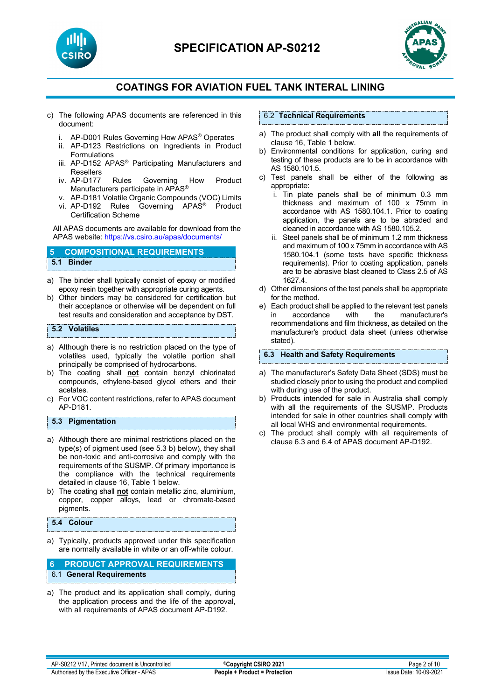



- c) The following APAS documents are referenced in this document:
	- i. AP-D001 Rules Governing How APAS® Operates
	- ii. AP-D123 Restrictions on Ingredients in Product Formulations
	- iii. AP-D152 APAS® Participating Manufacturers and Resellers
	- iv. AP-D177 Rules Governing How Product Manufacturers participate in APAS®
	- v. AP-D181 Volatile Organic Compounds (VOC) Limits
	- vi. AP-D192 Rules Governing APAS® Product Certification Scheme

All APAS documents are available for download from the APAS website: <https://vs.csiro.au/apas/documents/>

### **5 COMPOSITIONAL REQUIREMENTS 5.1 Binder**

- a) The binder shall typically consist of epoxy or modified epoxy resin together with appropriate curing agents.
- b) Other binders may be considered for certification but their acceptance or otherwise will be dependent on full test results and consideration and acceptance by DST.

## **5.2 Volatiles**

- a) Although there is no restriction placed on the type of volatiles used, typically the volatile portion shall principally be comprised of hydrocarbons.
- b) The coating shall **not** contain benzyl chlorinated compounds, ethylene-based glycol ethers and their acetates.
- c) For VOC content restrictions, refer to APAS document AP-D181.

## **5.3 Pigmentation**

- a) Although there are minimal restrictions placed on the type(s) of pigment used (see 5.3 b) below), they shall be non-toxic and anti-corrosive and comply with the requirements of the SUSMP. Of primary importance is the compliance with the technical requirements detailed in clause 16, Table 1 below.
- b) The coating shall **not** contain metallic zinc, aluminium, copper, copper alloys, lead or chromate-based pigments.

## **5.4 Colour**

a) Typically, products approved under this specification are normally available in white or an off-white colour.

## **6 PRODUCT APPROVAL REQUIREMENTS** 6.1 **General Requirements**

a) The product and its application shall comply, during the application process and the life of the approval, with all requirements of APAS document AP-D192.

#### 6.2 **Technical Requirements**

- a) The product shall comply with **all** the requirements of clause 16, Table 1 below.
- b) Environmental conditions for application, curing and testing of these products are to be in accordance with AS 1580.101.5.
- c) Test panels shall be either of the following as appropriate:
	- i. Tin plate panels shall be of minimum 0.3 mm thickness and maximum of 100 x 75mm in accordance with AS 1580.104.1. Prior to coating application, the panels are to be abraded and cleaned in accordance with AS 1580.105.2.
	- ii. Steel panels shall be of minimum 1.2 mm thickness and maximum of 100 x 75mm in accordance with AS 1580.104.1 (some tests have specific thickness requirements). Prior to coating application, panels are to be abrasive blast cleaned to Class 2.5 of AS 1627.4.
- d) Other dimensions of the test panels shall be appropriate for the method.
- e) Each product shall be applied to the relevant test panels<br>in accordance with the manufacturer's in accordance with the manufacturer's recommendations and film thickness, as detailed on the manufacturer's product data sheet (unless otherwise stated).

#### **6.3 Health and Safety Requirements**

- a) The manufacturer's Safety Data Sheet (SDS) must be studied closely prior to using the product and complied with during use of the product.
- b) Products intended for sale in Australia shall comply with all the requirements of the SUSMP. Products intended for sale in other countries shall comply with all local WHS and environmental requirements.
- c) The product shall comply with all requirements of clause 6.3 and 6.4 of APAS document AP-D192.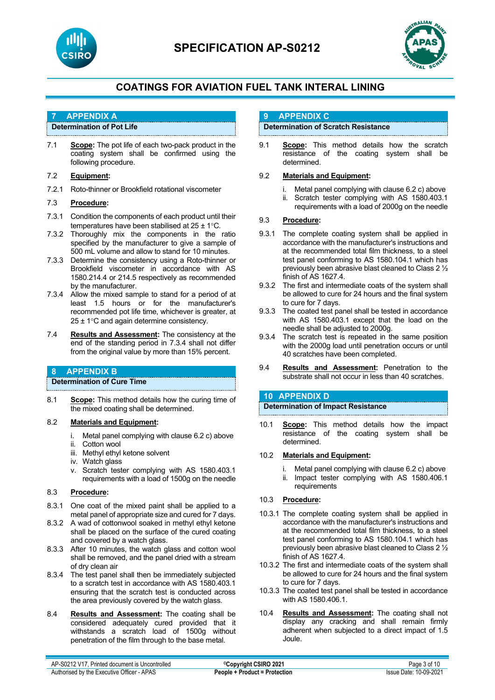



## **7 APPENDIX A**

## **Determination of Pot Life**

7.1 **Scope:** The pot life of each two-pack product in the coating system shall be confirmed using the following procedure.

## 7.2 **Equipment:**

7.2.1 Roto-thinner or Brookfield rotational viscometer

## 7.3 **Procedure:**

- 7.3.1 Condition the components of each product until their temperatures have been stabilised at 25 ± 1°C.
- 7.3.2 Thoroughly mix the components in the ratio specified by the manufacturer to give a sample of 500 mL volume and allow to stand for 10 minutes.
- 7.3.3 Determine the consistency using a Roto-thinner or Brookfield viscometer in accordance with AS 1580.214.4 or 214.5 respectively as recommended by the manufacturer.
- 7.3.4 Allow the mixed sample to stand for a period of at least 1.5 hours or for the manufacturer's recommended pot life time, whichever is greater, at  $25 \pm 1^{\circ}$ C and again determine consistency.
- 7.4 **Results and Assessment:** The consistency at the end of the standing period in 7.3.4 shall not differ from the original value by more than 15% percent.

## **8 APPENDIX B**

## **Determination of Cure Time**

8.1 **Scope:** This method details how the curing time of the mixed coating shall be determined.

## 8.2 **Materials and Equipment:**

- i. Metal panel complying with clause 6.2 c) above
- ii. Cotton wool
- iii. Methyl ethyl ketone solvent
- iv. Watch glass
- v. Scratch tester complying with AS 1580.403.1 requirements with a load of 1500g on the needle

## 8.3 **Procedure:**

- 8.3.1 One coat of the mixed paint shall be applied to a metal panel of appropriate size and cured for 7 days.
- 8.3.2 A wad of cottonwool soaked in methyl ethyl ketone shall be placed on the surface of the cured coating and covered by a watch glass.
- 8.3.3 After 10 minutes, the watch glass and cotton wool shall be removed, and the panel dried with a stream of dry clean air
- 8.3.4 The test panel shall then be immediately subjected to a scratch test in accordance with AS 1580.403.1 ensuring that the scratch test is conducted across the area previously covered by the watch glass.
- 8.4 **Results and Assessment:** The coating shall be considered adequately cured provided that it withstands a scratch load of 1500g without penetration of the film through to the base metal.

## **9 APPENDIX C**

## **Determination of Scratch Resistance**

9.1 **Scope:** This method details how the scratch resistance of the coating system shall be determined.

## 9.2 **Materials and Equipment:**

- i. Metal panel complying with clause 6.2 c) above
- Scratch tester complying with AS 1580.403.1 requirements with a load of 2000g on the needle

## 9.3 **Procedure:**

- 9.3.1 The complete coating system shall be applied in accordance with the manufacturer's instructions and at the recommended total film thickness, to a steel test panel conforming to AS 1580.104.1 which has previously been abrasive blast cleaned to Class 2 ½ finish of AS 1627.4.
- 9.3.2 The first and intermediate coats of the system shall be allowed to cure for 24 hours and the final system to cure for 7 days.
- 9.3.3 The coated test panel shall be tested in accordance with AS 1580.403.1 except that the load on the needle shall be adjusted to 2000g.
- 9.3.4 The scratch test is repeated in the same position with the 2000g load until penetration occurs or until 40 scratches have been completed.
- 9.4 **Results and Assessment:** Penetration to the substrate shall not occur in less than 40 scratches.

## **10 APPENDIX D**

## **Determination of Impact Resistance**

10.1 **Scope:** This method details how the impact resistance of the coating system shall be determined.

## 10.2 **Materials and Equipment:**

- i. Metal panel complying with clause 6.2 c) above<br>ii. Impact tester complying with AS 1580.406.1
- Impact tester complying with AS 1580.406.1 requirements

## 10.3 **Procedure:**

- 10.3.1 The complete coating system shall be applied in accordance with the manufacturer's instructions and at the recommended total film thickness, to a steel test panel conforming to AS 1580.104.1 which has previously been abrasive blast cleaned to Class 2 ½ finish of AS 1627.4.
- 10.3.2 The first and intermediate coats of the system shall be allowed to cure for 24 hours and the final system to cure for 7 days.
- 10.3.3 The coated test panel shall be tested in accordance with AS 1580.406.1.
- 10.4 **Results and Assessment:** The coating shall not display any cracking and shall remain firmly adherent when subjected to a direct impact of 1.5 Joule.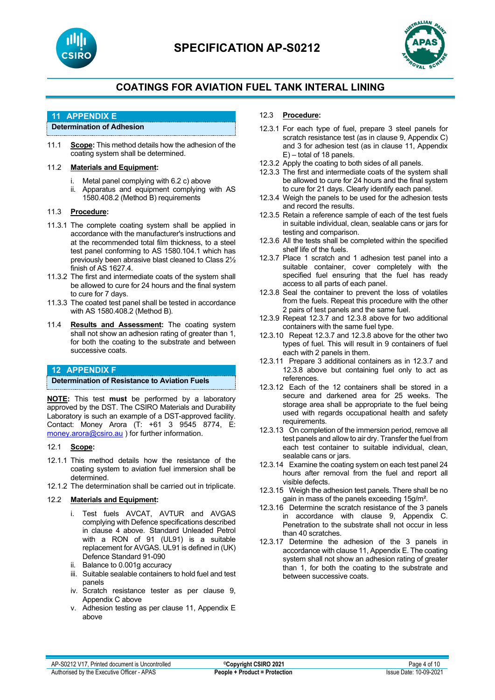



## **11 APPENDIX E**

**Determination of Adhesion**

11.1 **Scope:** This method details how the adhesion of the coating system shall be determined.

## 11.2 **Materials and Equipment:**

- i. Metal panel complying with 6.2 c) above
- ii. Apparatus and equipment complying with AS 1580.408.2 (Method B) requirements

#### 11.3 **Procedure:**

- 11.3.1 The complete coating system shall be applied in accordance with the manufacturer's instructions and at the recommended total film thickness, to a steel test panel conforming to AS 1580.104.1 which has previously been abrasive blast cleaned to Class 2½ finish of AS 1627.4.
- 11.3.2 The first and intermediate coats of the system shall be allowed to cure for 24 hours and the final system to cure for 7 days.
- 11.3.3 The coated test panel shall be tested in accordance with AS 1580.408.2 (Method B).
- 11.4 **Results and Assessment:** The coating system shall not show an adhesion rating of greater than 1, for both the coating to the substrate and between successive coats.

## **12 APPENDIX F**

**Determination of Resistance to Aviation Fuels**

**NOTE:** This test **must** be performed by a laboratory approved by the DST. The CSIRO Materials and Durability Laboratory is such an example of a DST-approved facility. Contact: Money Arora (T: +61 3 9545 8774, E: [money.arora@csiro.au](mailto:money.arora@csiro.au) ) for further information.

#### 12.1 **Scope:**

- 12.1.1 This method details how the resistance of the coating system to aviation fuel immersion shall be determined.
- 12.1.2 The determination shall be carried out in triplicate.

## 12.2 **Materials and Equipment:**

- i. Test fuels AVCAT, AVTUR and AVGAS complying with Defence specifications described in clause 4 above. Standard Unleaded Petrol with a RON of 91 (UL91) is a suitable replacement for AVGAS. UL91 is defined in (UK) Defence Standard 91-090
- ii. Balance to 0.001g accuracy
- iii. Suitable sealable containers to hold fuel and test panels
- iv. Scratch resistance tester as per clause 9, Appendix C above
- v. Adhesion testing as per clause 11, Appendix E above

## 12.3 **Procedure:**

- 12.3.1 For each type of fuel, prepare 3 steel panels for scratch resistance test (as in clause 9, Appendix C) and 3 for adhesion test (as in clause 11, Appendix E) – total of 18 panels.
- 12.3.2 Apply the coating to both sides of all panels.
- 12.3.3 The first and intermediate coats of the system shall be allowed to cure for 24 hours and the final system to cure for 21 days. Clearly identify each panel.
- 12.3.4 Weigh the panels to be used for the adhesion tests and record the results.
- 12.3.5 Retain a reference sample of each of the test fuels in suitable individual, clean, sealable cans or jars for testing and comparison.
- 12.3.6 All the tests shall be completed within the specified shelf life of the fuels.
- 12.3.7 Place 1 scratch and 1 adhesion test panel into a suitable container, cover completely with the specified fuel ensuring that the fuel has ready access to all parts of each panel.
- 12.3.8 Seal the container to prevent the loss of volatiles from the fuels. Repeat this procedure with the other 2 pairs of test panels and the same fuel.
- 12.3.9 Repeat 12.3.7 and 12.3.8 above for two additional containers with the same fuel type.
- 12.3.10 Repeat 12.3.7 and 12.3.8 above for the other two types of fuel. This will result in 9 containers of fuel each with 2 panels in them.
- 12.3.11 Prepare 3 additional containers as in 12.3.7 and 12.3.8 above but containing fuel only to act as references.
- 12.3.12 Each of the 12 containers shall be stored in a secure and darkened area for 25 weeks. The storage area shall be appropriate to the fuel being used with regards occupational health and safety requirements.
- 12.3.13 On completion of the immersion period, remove all test panels and allow to air dry. Transfer the fuel from each test container to suitable individual, clean, sealable cans or jars.
- 12.3.14 Examine the coating system on each test panel 24 hours after removal from the fuel and report all visible defects.
- 12.3.15 Weigh the adhesion test panels. There shall be no gain in mass of the panels exceeding 15g/m².
- 12.3.16 Determine the scratch resistance of the 3 panels in accordance with clause 9, Appendix C. Penetration to the substrate shall not occur in less than 40 scratches.
- 12.3.17 Determine the adhesion of the 3 panels in accordance with clause 11, Appendix E. The coating system shall not show an adhesion rating of greater than 1, for both the coating to the substrate and between successive coats.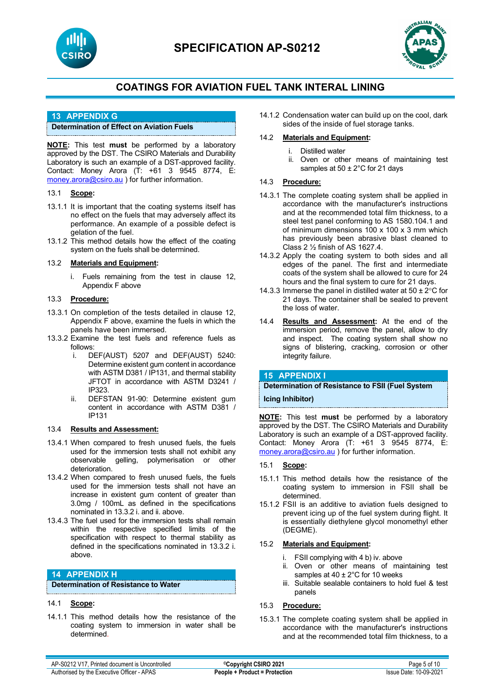



## **13 APPENDIX G**

## **Determination of Effect on Aviation Fuels**

**NOTE:** This test **must** be performed by a laboratory approved by the DST. The CSIRO Materials and Durability Laboratory is such an example of a DST-approved facility. Contact: Money Arora (T: +61 3 9545 8774, E: [money.arora@csiro.au](mailto:money.arora@csiro.au) ) for further information.

#### 13.1 **Scope:**

- 13.1.1 It is important that the coating systems itself has no effect on the fuels that may adversely affect its performance. An example of a possible defect is gelation of the fuel.
- 13.1.2 This method details how the effect of the coating system on the fuels shall be determined.

#### 13.2 **Materials and Equipment:**

i. Fuels remaining from the test in clause 12, Appendix F above

### 13.3 **Procedure:**

- 13.3.1 On completion of the tests detailed in clause 12, Appendix F above, examine the fuels in which the panels have been immersed.
- 13.3.2 Examine the test fuels and reference fuels as follows:
	- i. DEF(AUST) 5207 and DEF(AUST) 5240: Determine existent gum content in accordance with ASTM D381 / IP131, and thermal stability JFTOT in accordance with ASTM D3241 / IP323.
	- ii. DEFSTAN 91-90: Determine existent gum content in accordance with ASTM D381 / IP131

## 13.4 **Results and Assessment:**

- 13.4.1 When compared to fresh unused fuels, the fuels used for the immersion tests shall not exhibit any observable gelling, polymerisation or other deterioration.
- 13.4.2 When compared to fresh unused fuels, the fuels used for the immersion tests shall not have an increase in existent gum content of greater than 3.0mg / 100mL as defined in the specifications nominated in 13.3.2 i. and ii. above.
- 13.4.3 The fuel used for the immersion tests shall remain within the respective specified limits of the specification with respect to thermal stability as defined in the specifications nominated in 13.3.2 i. above.

## **14 APPENDIX H**

**Determination of Resistance to Water**

#### 14.1 **Scope:**

14.1.1 This method details how the resistance of the coating system to immersion in water shall be determined.

14.1.2 Condensation water can build up on the cool, dark sides of the inside of fuel storage tanks.

## 14.2 **Materials and Equipment:**

- i. Distilled water
- ii. Oven or other means of maintaining test samples at 50 ± 2°C for 21 days

## 14.3 **Procedure:**

- 14.3.1 The complete coating system shall be applied in accordance with the manufacturer's instructions and at the recommended total film thickness, to a steel test panel conforming to AS 1580.104.1 and of minimum dimensions 100 x 100 x 3 mm which has previously been abrasive blast cleaned to Class 2 ½ finish of AS 1627.4.
- 14.3.2 Apply the coating system to both sides and all edges of the panel. The first and intermediate coats of the system shall be allowed to cure for 24 hours and the final system to cure for 21 days.
- 14.3.3 Immerse the panel in distilled water at  $50 \pm 2^{\circ}$ C for 21 days. The container shall be sealed to prevent the loss of water.
- 14.4 **Results and Assessment:** At the end of the immersion period, remove the panel, allow to dry and inspect. The coating system shall show no signs of blistering, cracking, corrosion or other integrity failure.

## **15 APPENDIX I**

**Determination of Resistance to FSII (Fuel System** 

**Icing Inhibitor)**

**NOTE:** This test **must** be performed by a laboratory approved by the DST. The CSIRO Materials and Durability Laboratory is such an example of a DST-approved facility. Contact: Money Arora (T: +61 3 9545 8774, E: [money.arora@csiro.au](mailto:money.arora@csiro.au) ) for further information.

#### 15.1 **Scope:**

- 15.1.1 This method details how the resistance of the coating system to immersion in FSII shall be determined.
- 15.1.2 FSII is an additive to aviation fuels designed to prevent icing up of the fuel system during flight. It is essentially diethylene glycol monomethyl ether (DEGME).

## 15.2 **Materials and Equipment:**

- FSII complying with 4 b) iv. above
- ii. Oven or other means of maintaining test samples at 40 ± 2°C for 10 weeks
- iii. Suitable sealable containers to hold fuel & test panels

## 15.3 **Procedure:**

15.3.1 The complete coating system shall be applied in accordance with the manufacturer's instructions and at the recommended total film thickness, to a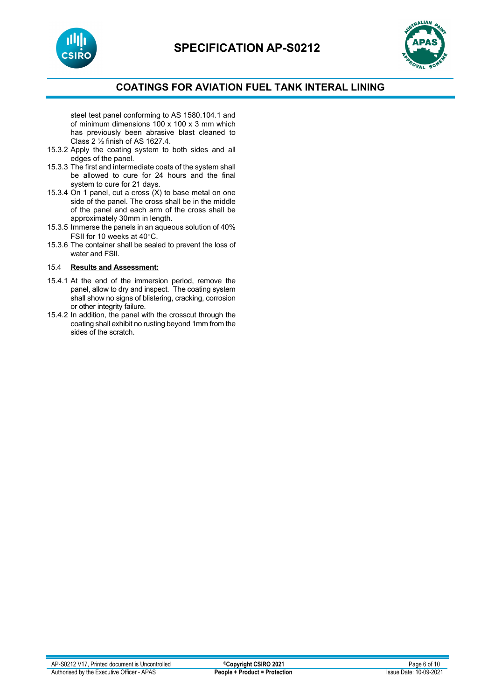



steel test panel conforming to AS 1580.104.1 and of minimum dimensions 100 x 100 x 3 mm which has previously been abrasive blast cleaned to Class 2 ½ finish of AS 1627.4.

- 15.3.2 Apply the coating system to both sides and all edges of the panel.
- 15.3.3 The first and intermediate coats of the system shall be allowed to cure for 24 hours and the final system to cure for 21 days.
- 15.3.4 On 1 panel, cut a cross (X) to base metal on one side of the panel. The cross shall be in the middle of the panel and each arm of the cross shall be approximately 30mm in length.
- 15.3.5 Immerse the panels in an aqueous solution of 40% FSII for 10 weeks at 40°C.
- 15.3.6 The container shall be sealed to prevent the loss of water and FSII.

## 15.4 **Results and Assessment:**

- 15.4.1 At the end of the immersion period, remove the panel, allow to dry and inspect. The coating system shall show no signs of blistering, cracking, corrosion or other integrity failure.
- 15.4.2 In addition, the panel with the crosscut through the coating shall exhibit no rusting beyond 1mm from the sides of the scratch.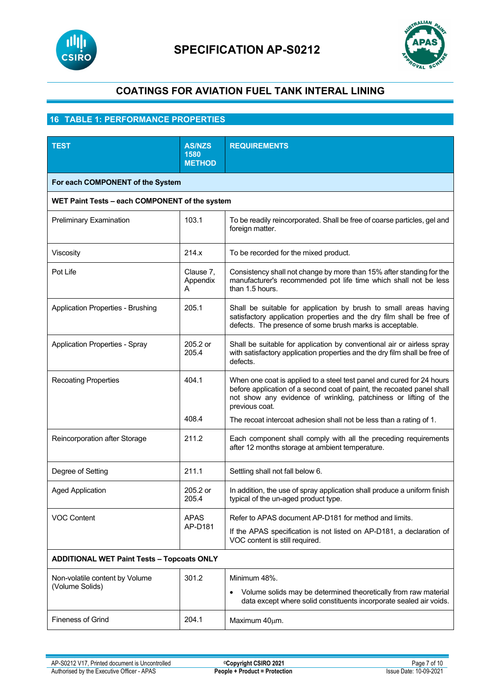



## **16 TABLE 1: PERFORMANCE PROPERTIES**

| <b>TEST</b>                                       | <b>AS/NZS</b><br>1580<br><b>METHOD</b> | <b>REQUIREMENTS</b>                                                                                                                                                                                                                   |  |  |
|---------------------------------------------------|----------------------------------------|---------------------------------------------------------------------------------------------------------------------------------------------------------------------------------------------------------------------------------------|--|--|
| For each COMPONENT of the System                  |                                        |                                                                                                                                                                                                                                       |  |  |
| WET Paint Tests - each COMPONENT of the system    |                                        |                                                                                                                                                                                                                                       |  |  |
| Preliminary Examination                           | 103.1                                  | To be readily reincorporated. Shall be free of coarse particles, gel and<br>foreign matter.                                                                                                                                           |  |  |
| Viscosity                                         | 214.x                                  | To be recorded for the mixed product.                                                                                                                                                                                                 |  |  |
| Pot Life                                          | Clause 7,<br>Appendix<br>A             | Consistency shall not change by more than 15% after standing for the<br>manufacturer's recommended pot life time which shall not be less<br>than 1.5 hours.                                                                           |  |  |
| <b>Application Properties - Brushing</b>          | 205.1                                  | Shall be suitable for application by brush to small areas having<br>satisfactory application properties and the dry film shall be free of<br>defects. The presence of some brush marks is acceptable.                                 |  |  |
| <b>Application Properties - Spray</b>             | 205.2 or<br>205.4                      | Shall be suitable for application by conventional air or airless spray<br>with satisfactory application properties and the dry film shall be free of<br>defects.                                                                      |  |  |
| <b>Recoating Properties</b>                       | 404.1                                  | When one coat is applied to a steel test panel and cured for 24 hours<br>before application of a second coat of paint, the recoated panel shall<br>not show any evidence of wrinkling, patchiness or lifting of the<br>previous coat. |  |  |
|                                                   | 408.4                                  | The recoat intercoat adhesion shall not be less than a rating of 1.                                                                                                                                                                   |  |  |
| Reincorporation after Storage                     | 211.2                                  | Each component shall comply with all the preceding requirements<br>after 12 months storage at ambient temperature.                                                                                                                    |  |  |
| Degree of Setting                                 | 211.1                                  | Settling shall not fall below 6.                                                                                                                                                                                                      |  |  |
| <b>Aged Application</b>                           | 205.2 or<br>205.4                      | In addition, the use of spray application shall produce a uniform finish<br>typical of the un-aged product type.                                                                                                                      |  |  |
| <b>VOC Content</b>                                | <b>APAS</b><br>AP-D181                 | Refer to APAS document AP-D181 for method and limits.<br>If the APAS specification is not listed on AP-D181, a declaration of<br>VOC content is still required.                                                                       |  |  |
| <b>ADDITIONAL WET Paint Tests - Topcoats ONLY</b> |                                        |                                                                                                                                                                                                                                       |  |  |
| Non-volatile content by Volume<br>(Volume Solids) | 301.2                                  | Minimum 48%.<br>Volume solids may be determined theoretically from raw material<br>data except where solid constituents incorporate sealed air voids.                                                                                 |  |  |
| <b>Fineness of Grind</b>                          | 204.1                                  | Maximum 40µm.                                                                                                                                                                                                                         |  |  |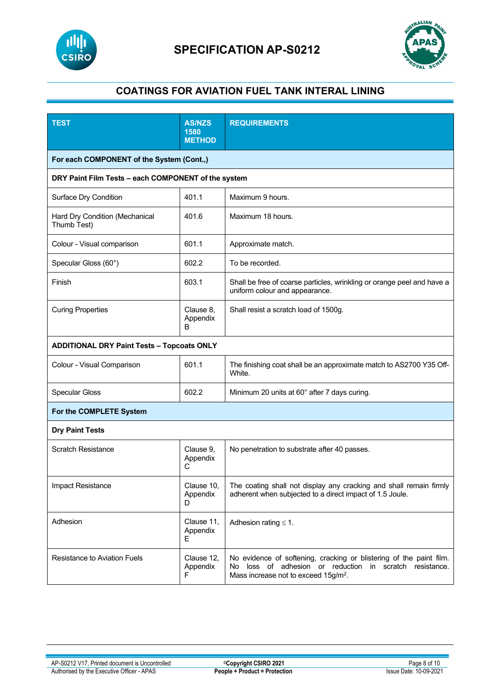



| <b>TEST</b>                                         | <b>AS/NZS</b><br>1580<br><b>METHOD</b> | <b>REQUIREMENTS</b>                                                                                                                                                                    |  |  |
|-----------------------------------------------------|----------------------------------------|----------------------------------------------------------------------------------------------------------------------------------------------------------------------------------------|--|--|
| For each COMPONENT of the System (Cont.,)           |                                        |                                                                                                                                                                                        |  |  |
| DRY Paint Film Tests - each COMPONENT of the system |                                        |                                                                                                                                                                                        |  |  |
| Surface Dry Condition                               | 401.1                                  | Maximum 9 hours.                                                                                                                                                                       |  |  |
| Hard Dry Condition (Mechanical<br>Thumb Test)       | 401.6                                  | Maximum 18 hours.                                                                                                                                                                      |  |  |
| Colour - Visual comparison                          | 601.1                                  | Approximate match.                                                                                                                                                                     |  |  |
| Specular Gloss (60°)                                | 602.2                                  | To be recorded.                                                                                                                                                                        |  |  |
| Finish                                              | 603.1                                  | Shall be free of coarse particles, wrinkling or orange peel and have a<br>uniform colour and appearance.                                                                               |  |  |
| <b>Curing Properties</b>                            | Clause 8,<br>Appendix<br>B             | Shall resist a scratch load of 1500g.                                                                                                                                                  |  |  |
| <b>ADDITIONAL DRY Paint Tests - Topcoats ONLY</b>   |                                        |                                                                                                                                                                                        |  |  |
| Colour - Visual Comparison                          | 601.1                                  | The finishing coat shall be an approximate match to AS2700 Y35 Off-<br>White.                                                                                                          |  |  |
| <b>Specular Gloss</b>                               | 602.2                                  | Minimum 20 units at 60° after 7 days curing.                                                                                                                                           |  |  |
| For the COMPLETE System                             |                                        |                                                                                                                                                                                        |  |  |
| <b>Dry Paint Tests</b>                              |                                        |                                                                                                                                                                                        |  |  |
| <b>Scratch Resistance</b>                           | Clause 9,<br>Appendix<br>С             | No penetration to substrate after 40 passes.                                                                                                                                           |  |  |
| Impact Resistance                                   | Clause 10,<br>Appendix<br>D            | The coating shall not display any cracking and shall remain firmly<br>adherent when subjected to a direct impact of 1.5 Joule.                                                         |  |  |
| Adhesion                                            | Clause 11,<br>Appendix<br>E.           | Adhesion rating $\leq 1$ .                                                                                                                                                             |  |  |
| <b>Resistance to Aviation Fuels</b>                 | Clause 12,<br>Appendix<br>F            | No evidence of softening, cracking or blistering of the paint film.<br>loss of adhesion or reduction in scratch resistance.<br>No.<br>Mass increase not to exceed 15g/m <sup>2</sup> . |  |  |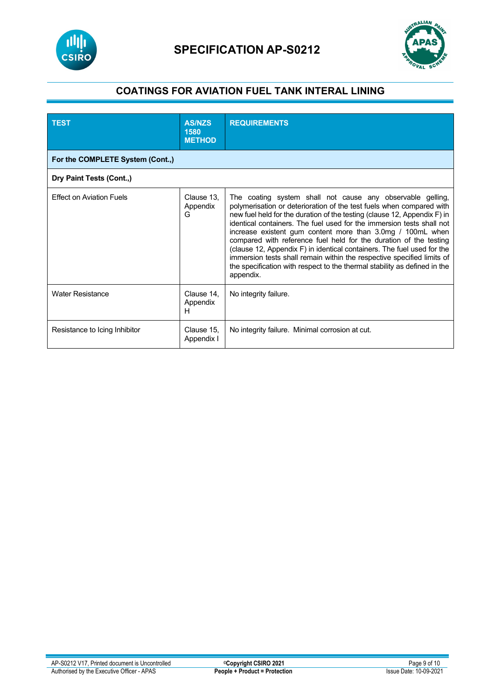



| <b>TEST</b>                      | <b>AS/NZS</b><br>1580<br><b>METHOD</b> | <b>REQUIREMENTS</b>                                                                                                                                                                                                                                                                                                                                                                                                                                                                                                                                                                                                                                                      |  |  |
|----------------------------------|----------------------------------------|--------------------------------------------------------------------------------------------------------------------------------------------------------------------------------------------------------------------------------------------------------------------------------------------------------------------------------------------------------------------------------------------------------------------------------------------------------------------------------------------------------------------------------------------------------------------------------------------------------------------------------------------------------------------------|--|--|
| For the COMPLETE System (Cont.,) |                                        |                                                                                                                                                                                                                                                                                                                                                                                                                                                                                                                                                                                                                                                                          |  |  |
| Dry Paint Tests (Cont.,)         |                                        |                                                                                                                                                                                                                                                                                                                                                                                                                                                                                                                                                                                                                                                                          |  |  |
| <b>Effect on Aviation Fuels</b>  | Clause 13,<br>Appendix<br>G            | The coating system shall not cause any observable gelling,<br>polymerisation or deterioration of the test fuels when compared with<br>new fuel held for the duration of the testing (clause 12, Appendix F) in<br>identical containers. The fuel used for the immersion tests shall not<br>increase existent gum content more than 3.0mg / 100mL when<br>compared with reference fuel held for the duration of the testing<br>(clause 12, Appendix F) in identical containers. The fuel used for the<br>immersion tests shall remain within the respective specified limits of<br>the specification with respect to the thermal stability as defined in the<br>appendix. |  |  |
| <b>Water Resistance</b>          | Clause 14,<br>Appendix<br>н            | No integrity failure.                                                                                                                                                                                                                                                                                                                                                                                                                                                                                                                                                                                                                                                    |  |  |
| Resistance to Icing Inhibitor    | Clause 15,<br>Appendix I               | No integrity failure. Minimal corrosion at cut.                                                                                                                                                                                                                                                                                                                                                                                                                                                                                                                                                                                                                          |  |  |